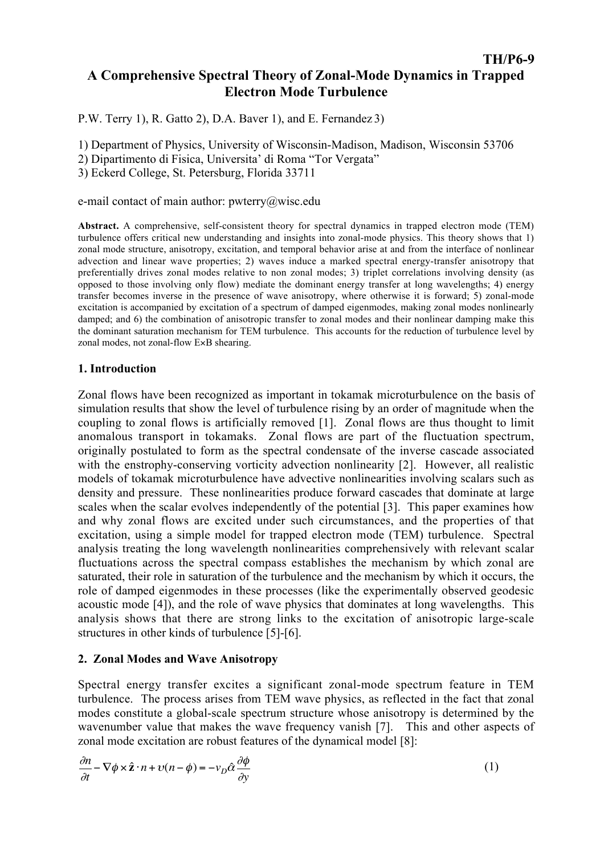# TH/P6-9 A Comprehensive Spectral Theory of Zonal-Mode Dynamics in Trapped Electron Mode Turbulence

P.W. Terry 1), R. Gatto 2), D.A. Baver 1), and E. Fernandez 3)

1) Department of Physics, University of Wisconsin-Madison, Madison, Wisconsin 53706

2) Dipartimento di Fisica, Universita' di Roma "Tor Vergata"

3) Eckerd College, St. Petersburg, Florida 33711

#### e-mail contact of main author: pwterry@wisc.edu

Abstract. A comprehensive, self-consistent theory for spectral dynamics in trapped electron mode (TEM) turbulence offers critical new understanding and insights into zonal-mode physics. This theory shows that 1) zonal mode structure, anisotropy, excitation, and temporal behavior arise at and from the interface of nonlinear advection and linear wave properties; 2) waves induce a marked spectral energy-transfer anisotropy that preferentially drives zonal modes relative to non zonal modes; 3) triplet correlations involving density (as opposed to those involving only flow) mediate the dominant energy transfer at long wavelengths; 4) energy transfer becomes inverse in the presence of wave anisotropy, where otherwise it is forward; 5) zonal-mode excitation is accompanied by excitation of a spectrum of damped eigenmodes, making zonal modes nonlinearly damped; and 6) the combination of anisotropic transfer to zonal modes and their nonlinear damping make this the dominant saturation mechanism for TEM turbulence. This accounts for the reduction of turbulence level by zonal modes, not zonal-flow E×B shearing.

#### 1. Introduction

Zonal flows have been recognized as important in tokamak microturbulence on the basis of simulation results that show the level of turbulence rising by an order of magnitude when the coupling to zonal flows is artificially removed [1]. Zonal flows are thus thought to limit anomalous transport in tokamaks. Zonal flows are part of the fluctuation spectrum, originally postulated to form as the spectral condensate of the inverse cascade associated with the enstrophy-conserving vorticity advection nonlinearity [2]. However, all realistic models of tokamak microturbulence have advective nonlinearities involving scalars such as density and pressure. These nonlinearities produce forward cascades that dominate at large scales when the scalar evolves independently of the potential [3]. This paper examines how and why zonal flows are excited under such circumstances, and the properties of that excitation, using a simple model for trapped electron mode (TEM) turbulence. Spectral analysis treating the long wavelength nonlinearities comprehensively with relevant scalar fluctuations across the spectral compass establishes the mechanism by which zonal are saturated, their role in saturation of the turbulence and the mechanism by which it occurs, the role of damped eigenmodes in these processes (like the experimentally observed geodesic acoustic mode [4]), and the role of wave physics that dominates at long wavelengths. This analysis shows that there are strong links to the excitation of anisotropic large-scale structures in other kinds of turbulence [5]-[6].

#### 2. Zonal Modes and Wave Anisotropy

Spectral energy transfer excites a significant zonal-mode spectrum feature in TEM turbulence. The process arises from TEM wave physics, as reflected in the fact that zonal modes constitute a global-scale spectrum structure whose anisotropy is determined by the wavenumber value that makes the wave frequency vanish [7]. This and other aspects of zonal mode excitation are robust features of the dynamical model [8]:

$$
\frac{\partial n}{\partial t} - \nabla \phi \times \hat{\mathbf{z}} \cdot n + \upsilon (n - \phi) = -\upsilon_D \hat{\alpha} \frac{\partial \phi}{\partial y}
$$
(1)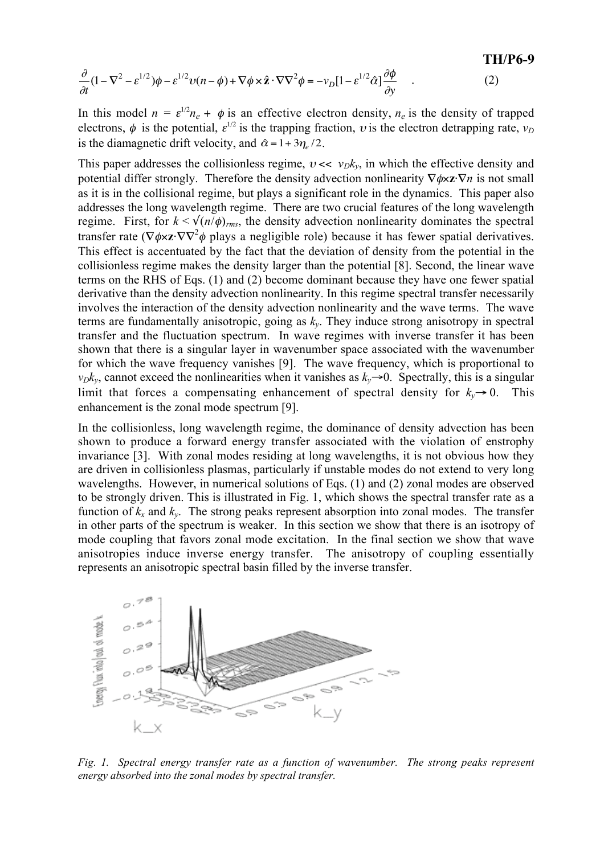$$
\frac{\partial}{\partial t}(1 - \nabla^2 - \varepsilon^{1/2})\phi - \varepsilon^{1/2}v(n - \phi) + \nabla\phi \times \hat{\mathbf{z}} \cdot \nabla\nabla^2\phi = -v_D[1 - \varepsilon^{1/2}\hat{\alpha}]\frac{\partial\phi}{\partial y} \quad . \tag{2}
$$

In this model  $n = \varepsilon^{1/2} n_e + \phi$  is an effective electron density,  $n_e$  is the density of trapped electrons,  $\phi$  is the potential,  $\varepsilon^{1/2}$  is the trapping fraction, v is the electron detrapping rate,  $v_D$ is the diamagnetic drift velocity, and  $\hat{\alpha} = 1 + 3\eta_e/2$ .

as it is in the collisional regime, but plays a significant role in the dynamics. This paper also This paper addresses the collisionless regime,  $v \ll v_D k_y$ , in which the effective density and potential differ strongly. Therefore the density advection nonlinearity ∇φ×z⋅∇*n* is not small addresses the long wavelength regime. There are two crucial features of the long wavelength regime. First, for  $k < \sqrt{(n/\phi)_{rms}}$ , the density advection nonlinearity dominates the spectral transfer rate ( $\nabla \phi \times z \cdot \nabla \nabla^2 \phi$  plays a negligible role) because it has fewer spatial derivatives. This effect is accentuated by the fact that the deviation of density from the potential in the collisionless regime makes the density larger than the potential [8]. Second, the linear wave terms on the RHS of Eqs. (1) and (2) become dominant because they have one fewer spatial derivative than the density advection nonlinearity. In this regime spectral transfer necessarily involves the interaction of the density advection nonlinearity and the wave terms. The wave terms are fundamentally anisotropic, going as *ky*. They induce strong anisotropy in spectral transfer and the fluctuation spectrum. In wave regimes with inverse transfer it has been shown that there is a singular layer in wavenumber space associated with the wavenumber for which the wave frequency vanishes [9]. The wave frequency, which is proportional to  $v_D k_y$ , cannot exceed the nonlinearities when it vanishes as  $k_y \rightarrow 0$ . Spectrally, this is a singular limit that forces a compensating enhancement of spectral density for  $k_y \rightarrow 0$ . This enhancement is the zonal mode spectrum [9].

In the collisionless, long wavelength regime, the dominance of density advection has been shown to produce a forward energy transfer associated with the violation of enstrophy invariance [3]. With zonal modes residing at long wavelengths, it is not obvious how they are driven in collisionless plasmas, particularly if unstable modes do not extend to very long wavelengths. However, in numerical solutions of Eqs. (1) and (2) zonal modes are observed to be strongly driven. This is illustrated in Fig. 1, which shows the spectral transfer rate as a function of  $k_x$  and  $k_y$ . The strong peaks represent absorption into zonal modes. The transfer in other parts of the spectrum is weaker. In this section we show that there is an isotropy of mode coupling that favors zonal mode excitation. In the final section we show that wave anisotropies induce inverse energy transfer. The anisotropy of coupling essentially represents an anisotropic spectral basin filled by the inverse transfer.



*Fig. 1. Spectral energy transfer rate as a function of wavenumber. The strong peaks represent energy absorbed into the zonal modes by spectral transfer.*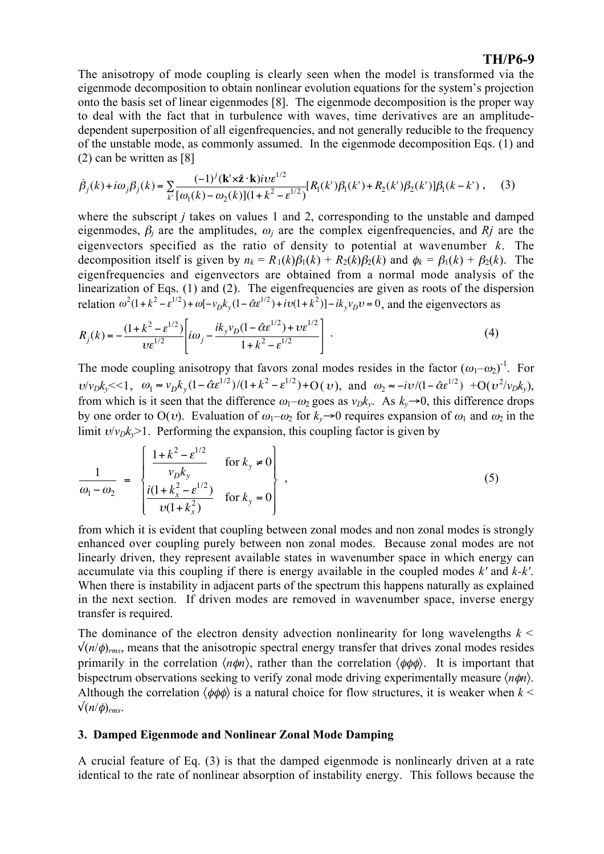The anisotropy of mode coupling is clearly seen when the model is transformed via the eigenmode decomposition to obtain nonlinear evolution equations for the system's projection onto the basis set of linear eigenmodes [8]. The eigenmode decomposition is the proper way to deal with the fact that in turbulence with waves, time derivatives are an amplitudedependent superposition of all eigenfrequencies, and not generally reducible to the frequency of the unstable mode, as commonly assumed. In the eigenmode decomposition Eqs. (1) and (2) can be written as [8]

$$
\dot{\beta}_j(k) + i\omega_j \beta_j(k) = \sum_{k'} \frac{(-1)^j (\mathbf{k}' \times \hat{\mathbf{z}} \cdot \mathbf{k}) i v \varepsilon^{1/2}}{[\omega_1(k) - \omega_2(k)] (1 + k^2 - \varepsilon^{1/2})} [R_1(k') \beta_1(k') + R_2(k') \beta_2(k')] \beta_1(k - k') , \quad (3)
$$

where the subscript *j* takes on values 1 and 2, corresponding to the unstable and damped eigenmodes,  $\beta_i$  are the amplitudes,  $\omega_i$  are the complex eigenfrequencies, and Rj are the eigenvectors specified as the ratio of density to potential at wavenumber *k*. The decomposition itself is given by  $n_k = R_1(k)\beta_1(k) + R_2(k)\beta_2(k)$  and  $\phi_k = \beta_1(k) + \beta_2(k)$ . The eigenfrequencies and eigenvectors are obtained from a normal mode analysis of the linearization of Eqs. (1) and (2). The eigenfrequencies are given as roots of the dispersion relation  $\omega^2(1 + k^2 - \varepsilon^{1/2}) + \omega[-v_D k_y(1 - \hat{\alpha} \varepsilon^{1/2}) + iv(1 + k^2)] - ik_y v_D v = 0$ , and the eigenvectors as

$$
R_j(k) = -\frac{(1 + k^2 - \varepsilon^{1/2})}{v\varepsilon^{1/2}} \left[ i\omega_j - \frac{ik_y v_D (1 - \hat{\alpha}\varepsilon^{1/2}) + v\varepsilon^{1/2}}{1 + k^2 - \varepsilon^{1/2}} \right] \,. \tag{4}
$$

The mode coupling anisotropy that favors zonal modes resides in the factor  $(\omega_1-\omega_2)^{-1}$ . For  $v/v_D k_y \ll 1$ ,  $\omega_1 \approx v_D k_y (1 - \hat{\alpha} \varepsilon^{1/2}) / (1 + k^2 - \varepsilon^{1/2}) + O(v)$ , and  $\omega_2 \approx -iv / (1 - \hat{\alpha} \varepsilon^{1/2}) + O(v^2/v_D k_y)$ , limit  $v/v_D k_y > 1$ . Performing the expansion, this coupling factor is given by from which is it seen that the difference  $\omega_1-\omega_2$  goes as  $v_D k_y$ . As  $k_y \rightarrow 0$ , this difference drops by one order to O(*v*). Evaluation of  $\omega_1-\omega_2$  for  $k_v\rightarrow 0$  requires expansion of  $\omega_1$  and  $\omega_2$  in the

$$
\frac{1}{\omega_1 - \omega_2} = \begin{cases}\n\frac{1 + k^2 - \varepsilon^{1/2}}{v_D k_y} & \text{for } k_y \neq 0 \\
\frac{i(1 + k_x^2 - \varepsilon^{1/2})}{v(1 + k_x^2)} & \text{for } k_y = 0\n\end{cases},
$$
\n(5)

from which it is evident that coupling between zonal modes and non zonal modes is strongly enhanced over coupling purely between non zonal modes. Because zonal modes are not linearly driven, they represent available states in wavenumber space in which energy can accumulate via this coupling if there is energy available in the coupled modes *k'* and *k-k'*. When there is instability in adjacent parts of the spectrum this happens naturally as explained in the next section. If driven modes are removed in wavenumber space, inverse energy transfer is required.

The dominance of the electron density advection nonlinearity for long wavelengths *k* <  $\sqrt{(n/\phi)_{rms}}$ , means that the anisotropic spectral energy transfer that drives zonal modes resides primarily in the correlation  $\langle n\phi n \rangle$ , rather than the correlation  $\langle \phi \phi \phi \rangle$ . It is important that bispectrum observations seeking to verify zonal mode driving experimentally measure 〈*n*φ*n*〉. Although the correlation  $\langle \phi \phi \phi \rangle$  is a natural choice for flow structures, it is weaker when  $k \leq$  $\sqrt{(n/\phi)}_{rms.}$ 

#### 3. Damped Eigenmode and Nonlinear Zonal Mode Damping

A crucial feature of Eq. (3) is that the damped eigenmode is nonlinearly driven at a rate identical to the rate of nonlinear absorption of instability energy. This follows because the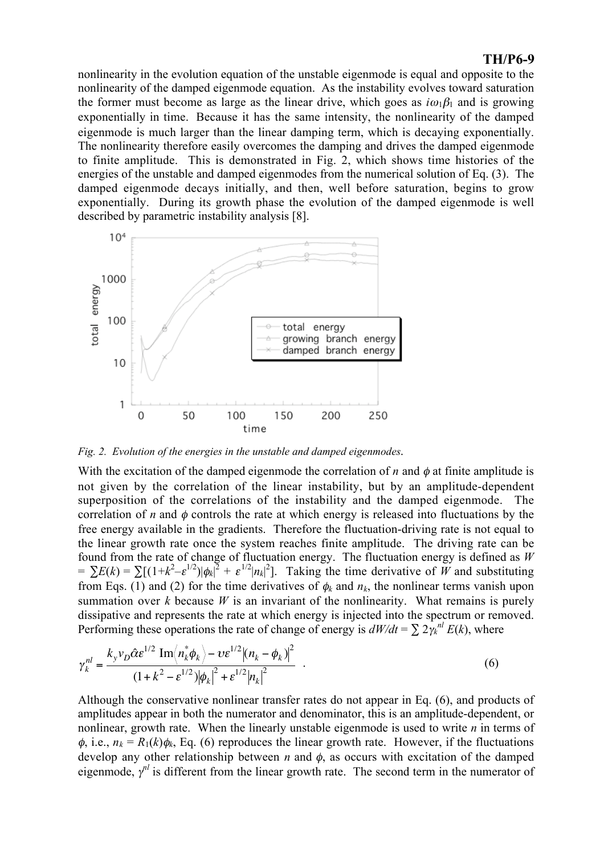nonlinearity in the evolution equation of the unstable eigenmode is equal and opposite to the nonlinearity of the damped eigenmode equation. As the instability evolves toward saturation the former must become as large as the linear drive, which goes as  $i\omega_1\beta_1$  and is growing exponentially in time. Because it has the same intensity, the nonlinearity of the damped eigenmode is much larger than the linear damping term, which is decaying exponentially. The nonlinearity therefore easily overcomes the damping and drives the damped eigenmode to finite amplitude. This is demonstrated in Fig. 2, which shows time histories of the energies of the unstable and damped eigenmodes from the numerical solution of Eq. (3). The damped eigenmode decays initially, and then, well before saturation, begins to grow exponentially. During its growth phase the evolution of the damped eigenmode is well described by parametric instability analysis [8].



*Fig. 2. Evolution of the energies in the unstable and damped eigenmodes*.

With the excitation of the damped eigenmode the correlation of  $n$  and  $\phi$  at finite amplitude is not given by the correlation of the linear instability, but by an amplitude-dependent superposition of the correlations of the instability and the damped eigenmode. The correlation of *n* and  $\phi$  controls the rate at which energy is released into fluctuations by the free energy available in the gradients. Therefore the fluctuation-driving rate is not equal to the linear growth rate once the system reaches finite amplitude. The driving rate can be found from the rate of change of fluctuation energy. The fluctuation energy is defined as *W*  $= \sum E(k) = \sum [(1+k^2-\varepsilon^{1/2})|\phi_k|^2 + \varepsilon^{1/2}|n_k|^2]$ . Taking the time derivative of *W* and substituting from Eqs. (1) and (2) for the time derivatives of  $\phi_k$  and  $n_k$ , the nonlinear terms vanish upon summation over  $k$  because  $W$  is an invariant of the nonlinearity. What remains is purely dissipative and represents the rate at which energy is injected into the spectrum or removed. Performing these operations the rate of change of energy is  $dW/dt = \sum 2\gamma_k^{nl} E(k)$ , where

$$
\gamma_k^{nl} = \frac{k_y v_D \hat{\alpha} \varepsilon^{1/2} \text{Im} \langle n_k^* \phi_k \rangle - v \varepsilon^{1/2} |(n_k - \phi_k)|^2}{(1 + k^2 - \varepsilon^{1/2}) |\phi_k|^2 + \varepsilon^{1/2} |n_k|^2} \quad . \tag{6}
$$

Although the conservative nonlinear transfer rates do not appear in Eq. (6), and products of amplitudes appear in both the numerator and denominator, this is an amplitude-dependent, or nonlinear, growth rate. When the linearly unstable eigenmode is used to write *n* in terms of  $\phi$ , i.e.,  $n_k = R_1(k)\phi_k$ , Eq. (6) reproduces the linear growth rate. However, if the fluctuations develop any other relationship between *n* and  $\phi$ , as occurs with excitation of the damped eigenmode,  $\gamma$ <sup>n</sup> is different from the linear growth rate. The second term in the numerator of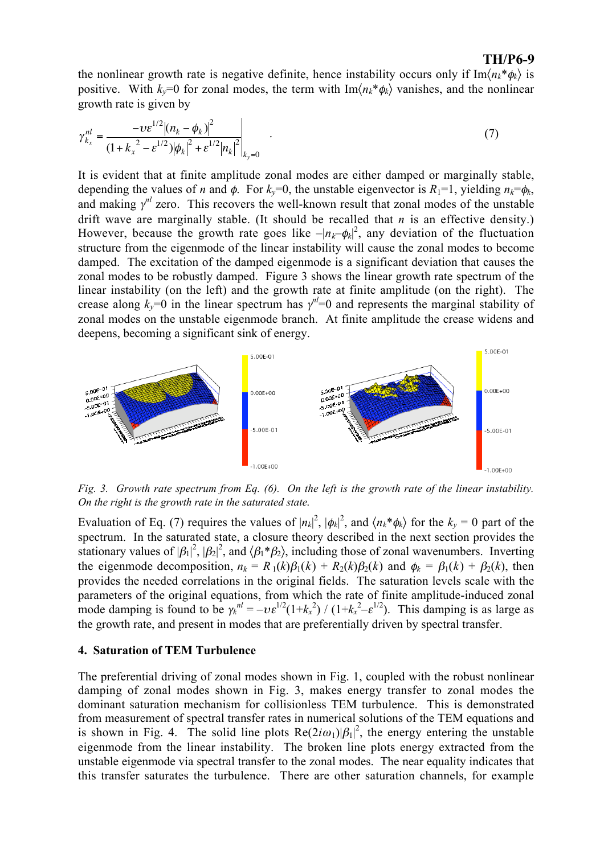the nonlinear growth rate is negative definite, hence instability occurs only if  $Im\langle n_k*\phi_k\rangle$  is positive. With  $k_v=0$  for zonal modes, the term with  $\text{Im}\langle n_k^* \phi_k \rangle$  vanishes, and the nonlinear growth rate is given by

$$
\gamma_{k_x}^{nl} = \frac{-\nu \varepsilon^{1/2} |(n_k - \phi_k)|^2}{(1 + {k_x}^2 - \varepsilon^{1/2}) |\phi_k|^2 + \varepsilon^{1/2} |n_k|^2} \bigg|_{k_y = 0} \quad . \tag{7}
$$

It is evident that at finite amplitude zonal modes are either damped or marginally stable, depending the values of *n* and  $\phi$ . For  $k_y=0$ , the unstable eigenvector is  $R_1=1$ , yielding  $n_k=\phi_k$ , and making  $\gamma^{nl}$  zero. This recovers the well-known result that zonal modes of the unstable drift wave are marginally stable. (It should be recalled that  $n$  is an effective density.) However, because the growth rate goes like  $-|n_k-\phi_k|^2$ , any deviation of the fluctuation structure from the eigenmode of the linear instability will cause the zonal modes to become damped. The excitation of the damped eigenmode is a significant deviation that causes the zonal modes to be robustly damped. Figure 3 shows the linear growth rate spectrum of the linear instability (on the left) and the growth rate at finite amplitude (on the right). The crease along  $k_y=0$  in the linear spectrum has  $\gamma^{nl}=0$  and represents the marginal stability of zonal modes on the unstable eigenmode branch. At finite amplitude the crease widens and deepens, becoming a significant sink of energy.



*Fig. 3. Growth rate spectrum from Eq. (6). On the left is the growth rate of the linear instability. On the right is the growth rate in the saturated state.*

Evaluation of Eq. (7) requires the values of  $|n_k|^2$ ,  $|\phi_k|^2$ , and  $\langle n_k * \phi_k \rangle$  for the  $k_y = 0$  part of the spectrum. In the saturated state, a closure theory described in the next section provides the stationary values of  $|\beta_1|^2$ ,  $|\beta_2|^2$ , and  $\langle \beta_1 * \beta_2 \rangle$ , including those of zonal wavenumbers. Inverting the eigenmode decomposition,  $n_k = R_1(k)\beta_1(k) + R_2(k)\beta_2(k)$  and  $\phi_k = \beta_1(k) + \beta_2(k)$ , then provides the needed correlations in the original fields. The saturation levels scale with the parameters of the original equations, from which the rate of finite amplitude-induced zonal mode damping is found to be  $\gamma_k^{nl} = -v \varepsilon^{1/2} (1 + k_x^2) / (1 + k_x^2 - \varepsilon^{1/2})$ . This damping is as large as the growth rate, and present in modes that are preferentially driven by spectral transfer.

### 4. Saturation of TEM Turbulence

The preferential driving of zonal modes shown in Fig. 1, coupled with the robust nonlinear damping of zonal modes shown in Fig. 3, makes energy transfer to zonal modes the dominant saturation mechanism for collisionless TEM turbulence. This is demonstrated from measurement of spectral transfer rates in numerical solutions of the TEM equations and is shown in Fig. 4. The solid line plots  $\text{Re}(2i\omega_1)|\beta_1|^2$ , the energy entering the unstable eigenmode from the linear instability. The broken line plots energy extracted from the unstable eigenmode via spectral transfer to the zonal modes. The near equality indicates that this transfer saturates the turbulence. There are other saturation channels, for example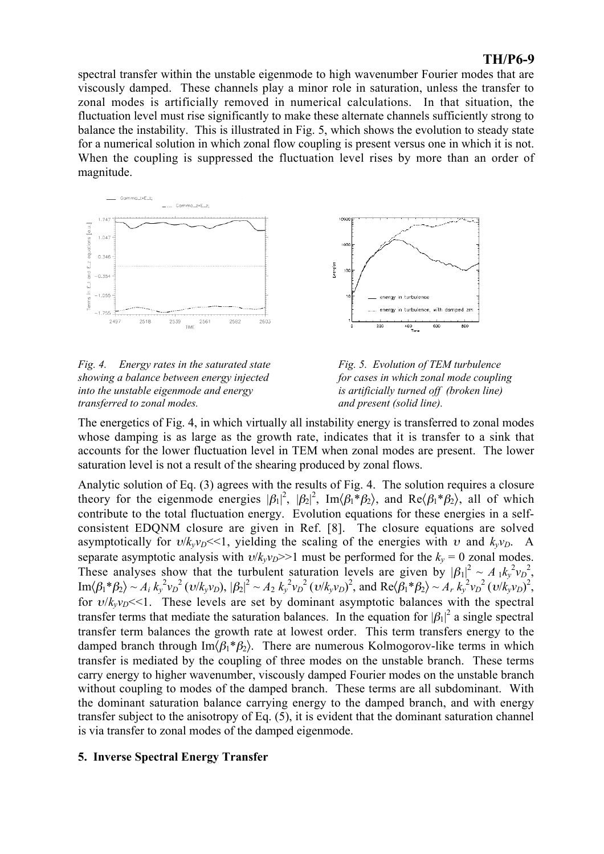spectral transfer within the unstable eigenmode to high wavenumber Fourier modes that are viscously damped. These channels play a minor role in saturation, unless the transfer to zonal modes is artificially removed in numerical calculations. In that situation, the fluctuation level must rise significantly to make these alternate channels sufficiently strong to balance the instability. This is illustrated in Fig. 5, which shows the evolution to steady state for a numerical solution in which zonal flow coupling is present versus one in which it is not. When the coupling is suppressed the fluctuation level rises by more than an order of magnitude.







The energetics of Fig. 4, in which virtually all instability energy is transferred to zonal modes whose damping is as large as the growth rate, indicates that it is transfer to a sink that accounts for the lower fluctuation level in TEM when zonal modes are present. The lower saturation level is not a result of the shearing produced by zonal flows.

Analytic solution of Eq. (3) agrees with the results of Fig. 4. The solution requires a closure theory for the eigenmode energies  $|\beta_1|^2$ ,  $|\beta_2|^2$ ,  $Im(\beta_1*\beta_2)$ , and  $Re(\beta_1*\beta_2)$ , all of which contribute to the total fluctuation energy. Evolution equations for these energies in a selfconsistent EDQNM closure are given in Ref. [8]. The closure equations are solved asymptotically for  $v/k_yv_D \ll 1$ , yielding the scaling of the energies with v and  $k_yv_D$ . A separate asymptotic analysis with  $v/k_vv_D$  $>> 1$  must be performed for the  $k_v = 0$  zonal modes. These analyses show that the turbulent saturation levels are given by  $|\beta_1|^2 \sim A_1 k_y^2 v_D^2$ ,  $\text{Im}\langle \beta_1 * \beta_2 \rangle \sim A_i k_y^2 v_D^2(v/k_y v_D), |\beta_2|^2 \sim A_2 k_y^2 v_D^2(v/k_y v_D)^2$ , and  $\text{Re}\langle \beta_1 * \beta_2 \rangle \sim A_r k_y^2 v_D^2(v/k_y v_D)^2$ , for  $v/k_vv_D \ll 1$ . These levels are set by dominant asymptotic balances with the spectral transfer terms that mediate the saturation balances. In the equation for  $|\beta_1|^2$  a single spectral transfer term balances the growth rate at lowest order. This term transfers energy to the damped branch through Im $\langle \beta_1 * \beta_2 \rangle$ . There are numerous Kolmogorov-like terms in which transfer is mediated by the coupling of three modes on the unstable branch. These terms carry energy to higher wavenumber, viscously damped Fourier modes on the unstable branch without coupling to modes of the damped branch. These terms are all subdominant. With the dominant saturation balance carrying energy to the damped branch, and with energy transfer subject to the anisotropy of Eq. (5), it is evident that the dominant saturation channel is via transfer to zonal modes of the damped eigenmode.

### 5. Inverse Spectral Energy Transfer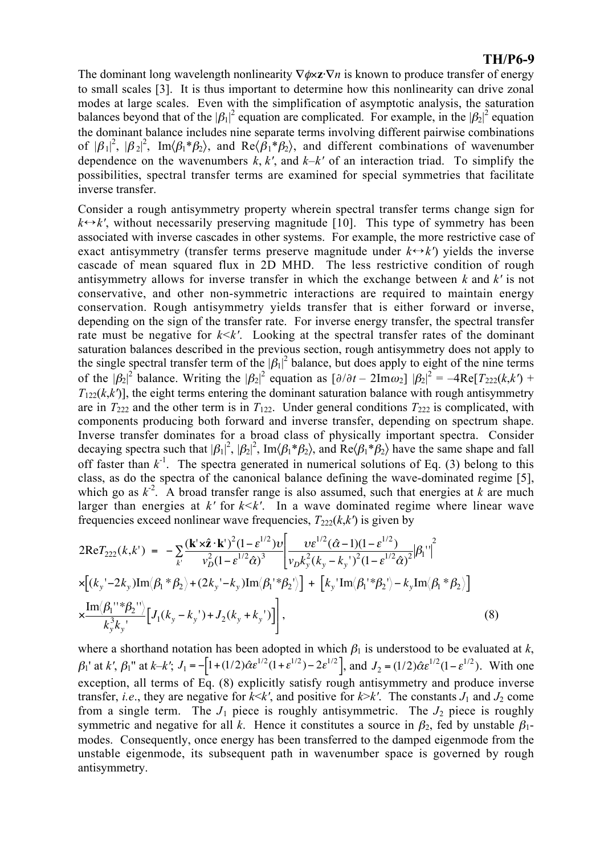The dominant long wavelength nonlinearity ∇φ×z⋅∇*n* is known to produce transfer of energy to small scales [3]. It is thus important to determine how this nonlinearity can drive zonal modes at large scales. Even with the simplification of asymptotic analysis, the saturation balances beyond that of the  $|\beta_1|^2$  equation are complicated. For example, in the  $|\beta_2|^2$  equation the dominant balance includes nine separate terms involving different pairwise combinations of  $|\beta_1|^2$ ,  $|\beta_2|^2$ , Im $\langle \beta_1 * \beta_2 \rangle$ , and Re $\langle \beta_1 * \beta_2 \rangle$ , and different combinations of wavenumber dependence on the wavenumbers  $k, k'$ , and  $k-k'$  of an interaction triad. To simplify the possibilities, spectral transfer terms are examined for special symmetries that facilitate inverse transfer.

Consider a rough antisymmetry property wherein spectral transfer terms change sign for  $k \leftrightarrow k'$ , without necessarily preserving magnitude [10]. This type of symmetry has been associated with inverse cascades in other systems. For example, the more restrictive case of exact antisymmetry (transfer terms preserve magnitude under  $k \leftrightarrow k'$ ) yields the inverse cascade of mean squared flux in 2D MHD. The less restrictive condition of rough antisymmetry allows for inverse transfer in which the exchange between *k* and *k'* is not conservative, and other non-symmetric interactions are required to maintain energy conservation. Rough antisymmetry yields transfer that is either forward or inverse, depending on the sign of the transfer rate. For inverse energy transfer, the spectral transfer rate must be negative for  $k \leq k'$ . Looking at the spectral transfer rates of the dominant saturation balances described in the previous section, rough antisymmetry does not apply to the single spectral transfer term of the  $|\beta_1|^2$  balance, but does apply to eight of the nine terms of the  $|\beta_2|^2$  balance. Writing the  $|\beta_2|^2$  equation as  $[\partial/\partial t - 2\text{Im}\omega_2] |\beta_2|^2 = -4\text{Re}[T_{222}(k, k') +$  $T_{122}(k,k')$ ], the eight terms entering the dominant saturation balance with rough antisymmetry are in  $T_{222}$  and the other term is in  $T_{122}$ . Under general conditions  $T_{222}$  is complicated, with components producing both forward and inverse transfer, depending on spectrum shape. Inverse transfer dominates for a broad class of physically important spectra. Consider decaying spectra such that  $|\beta_1|^2$ ,  $|\beta_2|^2$ , Im $(\beta_1 * \beta_2)$ , and  $Re(\beta_1 * \beta_2)$  have the same shape and fall off faster than  $k^{-1}$ . The spectra generated in numerical solutions of Eq. (3) belong to this class, as do the spectra of the canonical balance defining the wave-dominated regime [5], which go as  $k^2$ . A broad transfer range is also assumed, such that energies at *k* are much larger than energies at *k'* for *k*<*k'*. In a wave dominated regime where linear wave frequencies exceed nonlinear wave frequencies,  $T_{222}(k, k')$  is given by

$$
2\text{Re}T_{222}(k,k') = -\sum_{k'} \frac{(\mathbf{k}' \times \hat{\mathbf{z}} \cdot \mathbf{k}')^2 (1 - \varepsilon^{1/2}) \nu}{\nu_D^2 (1 - \varepsilon^{1/2} \hat{\alpha})^3} \left[ \frac{\nu \varepsilon^{1/2} (\hat{\alpha} - 1)(1 - \varepsilon^{1/2})}{\nu_D k_y^2 (k_y - k_y')^2 (1 - \varepsilon^{1/2} \hat{\alpha})^2} |\beta_1''| \right]^2
$$
  
×
$$
\left[ (k_y'-2k_y) \text{Im} \langle \beta_1 * \beta_2 \rangle + (2k_y'-k_y) \text{Im} \langle \beta_1' * \beta_2' \rangle \right] + \left[ k_y' \text{Im} \langle \beta_1' * \beta_2' \rangle - k_y \text{Im} \langle \beta_1 * \beta_2 \rangle \right]
$$
  
×
$$
\frac{\text{Im} \langle \beta_1'' * \beta_2'' \rangle}{k_y^3 k_y'} \left[ J_1(k_y - k_y') + J_2(k_y + k_y') \right],
$$
 (8)

where a shorthand notation has been adopted in which  $\beta_1$  is understood to be evaluated at *k*,  $\beta_1$ ' at *k'*,  $\beta_1$ " at *k–k'*;  $J_1 = -\left[1 + (1/2)\hat{\alpha}\epsilon^{1/2}(1+\epsilon^{1/2}) - 2\epsilon^{1/2}\right]$ , and  $J_2 = (1/2)\hat{\alpha}\epsilon^{1/2}(1-\epsilon^{1/2})$ . With one External divergences in France is following analysismmetric. The  $\sigma_2$  proces to following symmetric and negative for all *k*. Hence it constitutes a source in  $β_2$ , fed by unstable  $β_1$ exception, all terms of Eq. (8) explicitly satisfy rough antisymmetry and produce inverse transfer, *i.e.*, they are negative for  $k \leq k'$ , and positive for  $k \geq k'$ . The constants  $J_1$  and  $J_2$  come from a single term. The  $J_1$  piece is roughly antisymmetric. The  $J_2$  piece is roughly modes. Consequently, once energy has been transferred to the damped eigenmode from the unstable eigenmode, its subsequent path in wavenumber space is governed by rough antisymmetry.